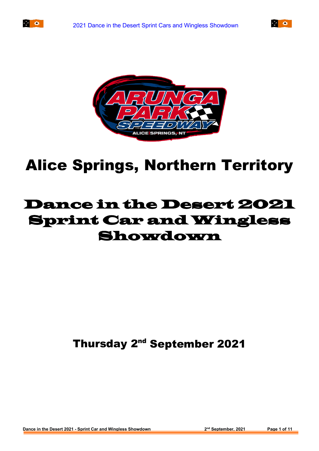





# Alice Springs, Northern Territory

## Dance in the Desert 2021 Sprint Car and Wingless Showdown

Thursday 2<sup>nd</sup> September 2021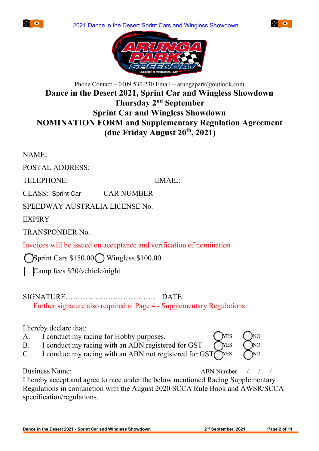





#### Phone Contact – 0409 530 230 Email – arungapark@outlook.com **Dance in the Desert 2021, Sprint Car and Wingless Showdown Thursday 2nd September Sprint Car and Wingless Showdown NOMINATION FORM and Supplementary Regulation Agreement (due Friday August 20th , 2021)**

NAME**:**

POSTAL ADDRESS:

TELEPHONE:EMAIL:

CLASS: Sprint Car CAR NUMBER

SPEEDWAY AUSTRALIA LICENSE No.

**EXPIRY** 

TRANSPONDER No.

Invoices will be issued on acceptance and verification of nomination

Sprint Cars  $$150.00$  Wingless  $$100.00$ 

Camp fees \$20/vehicle/night

#### SIGNATURE……………………………… DATE:

Further signature also required at Page 4 - Supplementary Regulations

I hereby declare that:

- A. I conduct my racing for Hobby purposes.  $\bigcirc$  ( $\bigcirc$ NES  $\bigcirc$  )NO
- B. I conduct my racing with an ABN registered for GST  $\bigcap$ YES  $\bigcap$ NO
- C. I conduct my racing with an ABN not registered for  $\text{GST}\bigcap$ YES

Business Name: *ABN Number*:

I hereby accept and agree to race under the below mentioned Racing Supplementary Regulations in conjunction with the August 2020 SCCA Rule Book and AWSR/SCCA specification/regulations.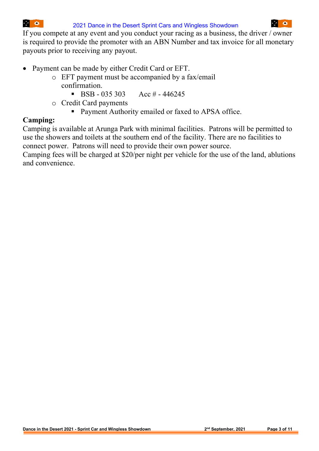If you compete at any event and you conduct your racing as a business, the driver / owner is required to provide the promoter with an ABN Number and tax invoice for all monetary payouts prior to receiving any payout.

- Payment can be made by either Credit Card or EFT.
	- o EFT payment must be accompanied by a fax/email confirmation.
		- **BSB** 035 303 Acc # 446245
	- o Credit Card payments
		- **Payment Authority emailed or faxed to APSA office.**

#### **Camping:**

Camping is available at Arunga Park with minimal facilities. Patrons will be permitted to use the showers and toilets at the southern end of the facility. There are no facilities to connect power. Patrons will need to provide their own power source.

Camping fees will be charged at \$20/per night per vehicle for the use of the land, ablutions and convenience.

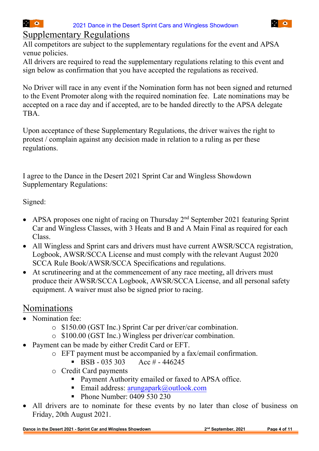#### Supplementary Regulations

All competitors are subject to the supplementary regulations for the event and APSA venue policies.

All drivers are required to read the supplementary regulations relating to this event and sign below as confirmation that you have accepted the regulations as received.

No Driver will race in any event if the Nomination form has not been signed and returned to the Event Promoter along with the required nomination fee. Late nominations may be accepted on a race day and if accepted, are to be handed directly to the APSA delegate TBA.

Upon acceptance of these Supplementary Regulations, the driver waives the right to protest / complain against any decision made in relation to a ruling as per these regulations.

I agree to the Dance in the Desert 2021 Sprint Car and Wingless Showdown Supplementary Regulations:

Signed:

- APSA proposes one night of racing on Thursday  $2<sup>nd</sup>$  September 2021 featuring Sprint Car and Wingless Classes, with 3 Heats and B and A Main Final as required for each Class.
- All Wingless and Sprint cars and drivers must have current AWSR/SCCA registration, Logbook, AWSR/SCCA License and must comply with the relevant August 2020 SCCA Rule Book/AWSR/SCCA Specifications and regulations.
- At scrutineering and at the commencement of any race meeting, all drivers must produce their AWSR/SCCA Logbook, AWSR/SCCA License, and all personal safety equipment. A waiver must also be signed prior to racing.

### Nominations

- Nomination fee:
	- o \$150.00 (GST Inc.) Sprint Car per driver/car combination.
	- o \$100.00 (GST Inc.) Wingless per driver/car combination.
- Payment can be made by either Credit Card or EFT.
	- o EFT payment must be accompanied by a fax/email confirmation.<br> **BSB** 035 303 Acc # 446245
		- $\text{BSB} 035303$
	- o Credit Card payments
		- Payment Authority emailed or faxed to APSA office.
		- Email address:  $\frac{arungapark}{a}$  outlook.com
		- **Phone Number: 0409 530 230**
- All drivers are to nominate for these events by no later than close of business on Friday, 20th August 2021.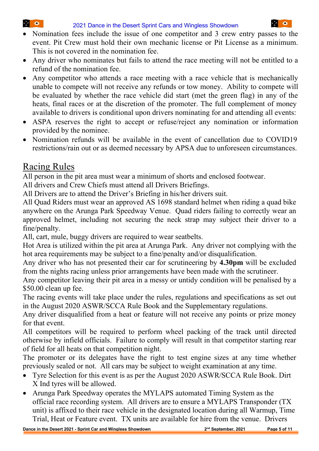- Nomination fees include the issue of one competitor and 3 crew entry passes to the event. Pit Crew must hold their own mechanic license or Pit License as a minimum. This is not covered in the nomination fee.
- Any driver who nominates but fails to attend the race meeting will not be entitled to a refund of the nomination fee.
- Any competitor who attends a race meeting with a race vehicle that is mechanically unable to compete will not receive any refunds or tow money. Ability to compete will be evaluated by whether the race vehicle did start (met the green flag) in any of the heats, final races or at the discretion of the promoter. The full complement of money available to drivers is conditional upon drivers nominating for and attending all events:
- ASPA reserves the right to accept or refuse/reject any nomination or information provided by the nominee.
- Nomination refunds will be available in the event of cancellation due to COVID19 restrictions/rain out or as deemed necessary by APSA due to unforeseen circumstances.

## Racing Rules

**1990年** 

All person in the pit area must wear a minimum of shorts and enclosed footwear.

All drivers and Crew Chiefs must attend all Drivers Briefings.

All Drivers are to attend the Driver's Briefing in his/her drivers suit.

All Quad Riders must wear an approved AS 1698 standard helmet when riding a quad bike anywhere on the Arunga Park Speedway Venue. Quad riders failing to correctly wear an approved helmet, including not securing the neck strap may subject their driver to a fine/penalty.

All, cart, mule, buggy drivers are required to wear seatbelts.

Hot Area is utilized within the pit area at Arunga Park. Any driver not complying with the hot area requirements may be subject to a fine/penalty and/or disqualification.

Any driver who has not presented their car for scrutineering by **4.30pm** will be excluded from the nights racing unless prior arrangements have been made with the scrutineer.

Any competitor leaving their pit area in a messy or untidy condition will be penalised by a \$50.00 clean up fee.

The racing events will take place under the rules, regulations and specifications as set out in the August 2020 ASWR/SCCA Rule Book and the Supplementary regulations.

Any driver disqualified from a heat or feature will not receive any points or prize money for that event.

All competitors will be required to perform wheel packing of the track until directed otherwise by infield officials. Failure to comply will result in that competitor starting rear of field for all heats on that competition night.

The promoter or its delegates have the right to test engine sizes at any time whether previously sealed or not. All cars may be subject to weight examination at any time.

- Tyre Selection for this event is as per the August 2020 ASWR/SCCA Rule Book. Dirt X Ind tyres will be allowed.
- Arunga Park Speedway operates the MYLAPS automated Timing System as the official race recording system. All drivers are to ensure a MYLAPS Transponder (TX unit) is affixed to their race vehicle in the designated location during all Warmup, Time Trial, Heat or Feature event. TX units are available for hire from the venue. Drivers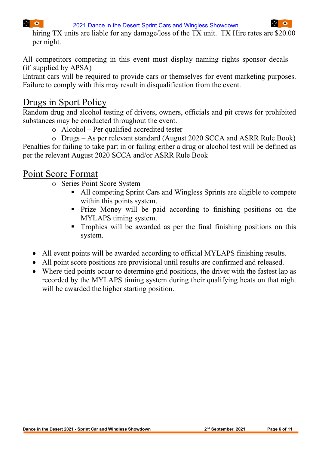2021 Dance in the Desert Sprint Cars and Wingless Showdown

hiring TX units are liable for any damage/loss of the TX unit. TX Hire rates are \$20.00 per night.

All competitors competing in this event must display naming rights sponsor decals (if supplied by APSA)

Entrant cars will be required to provide cars or themselves for event marketing purposes. Failure to comply with this may result in disqualification from the event.

#### Drugs in Sport Policy

 $\mathcal{L}^{\text{max}}_{\text{max}}$ 

Random drug and alcohol testing of drivers, owners, officials and pit crews for prohibited substances may be conducted throughout the event.

o Alcohol – Per qualified accredited tester

o Drugs – As per relevant standard (August 2020 SCCA and ASRR Rule Book) Penalties for failing to take part in or failing either a drug or alcohol test will be defined as per the relevant August 2020 SCCA and/or ASRR Rule Book

#### Point Score Format

- o Series Point Score System
	- All competing Sprint Cars and Wingless Sprints are eligible to compete within this points system.
	- Prize Money will be paid according to finishing positions on the MYLAPS timing system.
	- Trophies will be awarded as per the final finishing positions on this system.
- All event points will be awarded according to official MYLAPS finishing results.
- All point score positions are provisional until results are confirmed and released.
- Where tied points occur to determine grid positions, the driver with the fastest lap as recorded by the MYLAPS timing system during their qualifying heats on that night will be awarded the higher starting position.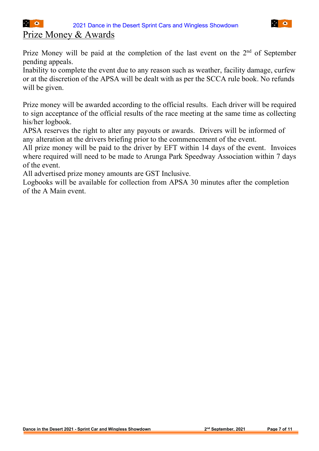#### Prize Money & Awards

**1990年** 

Prize Money will be paid at the completion of the last event on the 2<sup>nd</sup> of September pending appeals.

Inability to complete the event due to any reason such as weather, facility damage, curfew or at the discretion of the APSA will be dealt with as per the SCCA rule book. No refunds will be given.

Prize money will be awarded according to the official results. Each driver will be required to sign acceptance of the official results of the race meeting at the same time as collecting his/her logbook.

APSA reserves the right to alter any payouts or awards. Drivers will be informed of any alteration at the drivers briefing prior to the commencement of the event.

All prize money will be paid to the driver by EFT within 14 days of the event. Invoices where required will need to be made to Arunga Park Speedway Association within 7 days of the event.

All advertised prize money amounts are GST Inclusive.

Logbooks will be available for collection from APSA 30 minutes after the completion of the A Main event.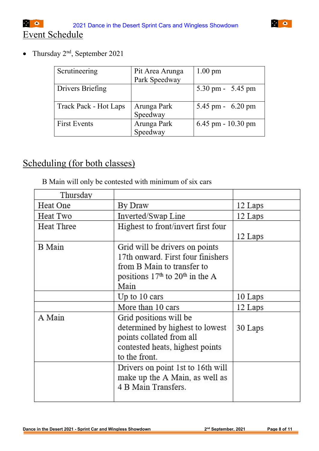• Thursday  $2<sup>nd</sup>$ , September 2021

| Scrutineering                | Pit Area Arunga | $1.00 \text{ pm}$      |
|------------------------------|-----------------|------------------------|
|                              | Park Speedway   |                        |
| <b>Drivers Briefing</b>      |                 | 5.30 pm - 5.45 pm      |
| <b>Track Pack - Hot Laps</b> | Arunga Park     | 5.45 pm - $6.20$ pm    |
|                              | Speedway        |                        |
| <b>First Events</b>          | Arunga Park     | $6.45$ pm - $10.30$ pm |
|                              | Speedway        |                        |

## Scheduling (for both classes)

B Main will only be contested with minimum of six cars

| Thursday          |                                                                 |         |
|-------------------|-----------------------------------------------------------------|---------|
| Heat One          | By Draw                                                         | 12 Laps |
| Heat Two          | Inverted/Swap Line                                              | 12 Laps |
| <b>Heat Three</b> | Highest to front/invert first four                              |         |
|                   |                                                                 | 12 Laps |
| <b>B</b> Main     | Grid will be drivers on points                                  |         |
|                   | 17th onward. First four finishers<br>from B Main to transfer to |         |
|                   | positions $17th$ to $20th$ in the A                             |         |
|                   | Main                                                            |         |
|                   | Up to $10$ cars                                                 | 10 Laps |
|                   | More than 10 cars                                               | 12 Laps |
| A Main            | Grid positions will be                                          |         |
|                   | determined by highest to lowest                                 | 30 Laps |
|                   | points collated from all                                        |         |
|                   | contested heats, highest points                                 |         |
|                   | to the front.                                                   |         |
|                   | Drivers on point 1st to 16th will                               |         |
|                   | make up the A Main, as well as                                  |         |
|                   | 4 B Main Transfers.                                             |         |
|                   |                                                                 |         |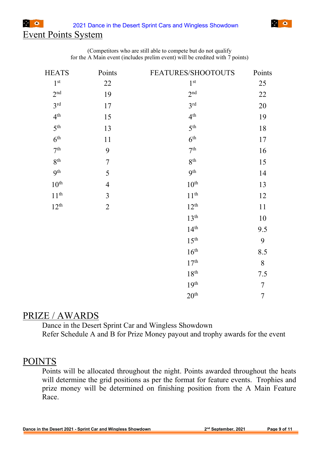#### Event Points System

**1990年** 

| (Competitors who are still able to compete but do not qualify                |  |
|------------------------------------------------------------------------------|--|
| for the A Main event (includes prelim event) will be credited with 7 points) |  |

| <b>HEATS</b>     | Points         | FEATURES/SHOOTOUTS | Points         |
|------------------|----------------|--------------------|----------------|
| 1 <sup>st</sup>  | 22             | 1 <sup>st</sup>    | 25             |
| 2 <sup>nd</sup>  | 19             | 2 <sup>nd</sup>    | 22             |
| 3 <sup>rd</sup>  | 17             | 3 <sup>rd</sup>    | 20             |
| 4 <sup>th</sup>  | 15             | 4 <sup>th</sup>    | 19             |
| 5 <sup>th</sup>  | 13             | 5 <sup>th</sup>    | 18             |
| 6 <sup>th</sup>  | 11             | 6 <sup>th</sup>    | 17             |
| 7 <sup>th</sup>  | 9              | 7 <sup>th</sup>    | 16             |
| 8 <sup>th</sup>  | $\sqrt{ }$     | 8 <sup>th</sup>    | 15             |
| 9 <sup>th</sup>  | 5              | 9 <sup>th</sup>    | 14             |
| $10^{\text{th}}$ | $\overline{4}$ | 10 <sup>th</sup>   | 13             |
| $11^{th}$        | $\overline{3}$ | $11^{th}$          | 12             |
| $12^{th}$        | $\overline{2}$ | $12^{th}$          | 11             |
|                  |                | 13 <sup>th</sup>   | 10             |
|                  |                | 14 <sup>th</sup>   | 9.5            |
|                  |                | 15 <sup>th</sup>   | 9              |
|                  |                | 16 <sup>th</sup>   | 8.5            |
|                  |                | 17 <sup>th</sup>   | 8              |
|                  |                | 18 <sup>th</sup>   | 7.5            |
|                  |                | 19 <sup>th</sup>   | $\tau$         |
|                  |                | 20 <sup>th</sup>   | $\overline{7}$ |

#### PRIZE / AWARDS

Dance in the Desert Sprint Car and Wingless Showdown Refer Schedule A and B for Prize Money payout and trophy awards for the event

#### POINTS

Points will be allocated throughout the night. Points awarded throughout the heats will determine the grid positions as per the format for feature events. Trophies and prize money will be determined on finishing position from the A Main Feature Race.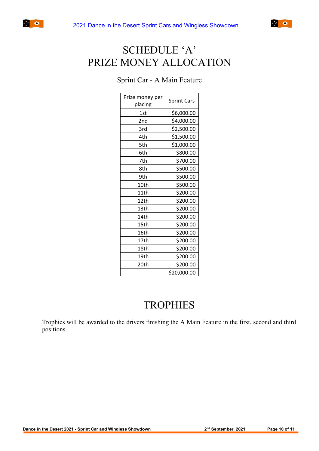



## SCHEDULE 'A' PRIZE MONEY ALLOCATION

#### Sprint Car - A Main Feature

| Prize money per<br>placing | <b>Sprint Cars</b> |
|----------------------------|--------------------|
| 1st                        | \$6,000.00         |
| 2 <sub>nd</sub>            | \$4,000.00         |
| 3rd                        | \$2,500.00         |
| 4th                        | \$1,500.00         |
| 5th                        | \$1,000.00         |
| 6th                        | \$800.00           |
| 7th                        | \$700.00           |
|                            |                    |
| 8th                        | \$500.00           |
| 9th                        | \$500.00           |
| 10th                       | \$500.00           |
| 11th                       | \$200.00           |
| 12th                       | \$200.00           |
| 13 <sub>th</sub>           | \$200.00           |
| 14th                       | \$200.00           |
| 15th                       | \$200.00           |
| 16th                       | \$200.00           |
| 17th                       | \$200.00           |
| 18th                       | \$200.00           |
| 19th                       | \$200.00           |
| 20th                       | \$200.00           |
|                            | \$20,000.00        |

## **TROPHIES**

Trophies will be awarded to the drivers finishing the A Main Feature in the first, second and third positions.

 $\sim$   $\approx$